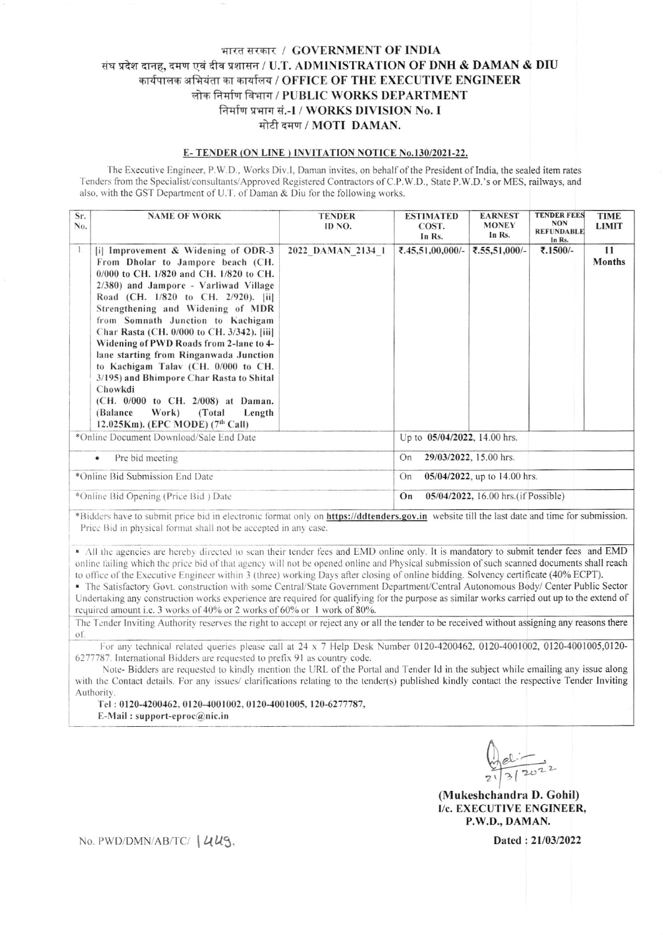## भारत सरकार / GOVERNMENT OF INDIA संघ प्रदेश दानह, दमण एवं दीव प्रशासन / U.T. ADMINISTRATION OF DNH & DAMAN & DIU कार्यपालक अभियंता का कार्यालय / OFFICE OF THE EXECUTIVE ENGINEER लोक निर्माण विभाग / PUBLIC WORKS DEPARTMENT निर्माण प्रभाग सं.-I / WORKS DIVISION No. I मोटी दमण / MOTI DAMAN.

## E-TENDER (ON LINE) INVITATION NOTICE No.130/2021-22.

The Executive Engineer, P.W.D., Works Div.I, Daman invites, on behalf of the President of India, the sealed item rates Tenders from the Specialist/consultants/Approved Registered Contractors of C.P.W.D., State P.W.D.'s or MES, railways, and also, with the GST Department of U.T. of Daman & Diu for the following works.

| Sr.<br>No.                              | <b>NAME OF WORK</b>                                                                                                                                                                                                                                                                                                                                                                                                                                                                                                                                                                                                                           | <b>TENDER</b><br>ID NO. | <b>ESTIMATED</b><br>COST.<br>In Rs.       | <b>EARNEST</b><br><b>MONEY</b><br>In Rs. | <b>TENDER FEES</b><br><b>NON</b><br><b>REFUNDABLE</b><br>In Rs. | <b>TIME</b><br><b>LIMIT</b> |  |
|-----------------------------------------|-----------------------------------------------------------------------------------------------------------------------------------------------------------------------------------------------------------------------------------------------------------------------------------------------------------------------------------------------------------------------------------------------------------------------------------------------------------------------------------------------------------------------------------------------------------------------------------------------------------------------------------------------|-------------------------|-------------------------------------------|------------------------------------------|-----------------------------------------------------------------|-----------------------------|--|
| $\mathbf{I}$ .                          | $ i $ Improvement & Widening of ODR-3<br>From Dholar to Jampore beach (CH.<br>$0/000$ to CH, $1/820$ and CH, $1/820$ to CH.<br>2/380) and Jampore - Varliwad Village<br>Road (CH. 1/820 to CH. 2/920). [ii]<br>Strengthening and Widening of MDR<br>from Somnath Junction to Kachigam<br>Char Rasta (CH. 0/000 to CH. 3/342). [iii]<br>Widening of PWD Roads from 2-lane to 4-<br>lane starting from Ringanwada Junction<br>to Kachigam Talav (CH. 0/000 to CH.<br>3/195) and Bhimpore Char Rasta to Shital<br>Chowkdi<br>(CH. 0/000 to CH. 2/008) at Daman.<br>Work)<br>(Balance)<br>(Total)<br>Length<br>12.025Km). (EPC MODE) $(7th$ Call) | 2022 DAMAN 2134 1       | ₹.45,51,00,000/-                          | ₹.55,51,000/-                            | ₹.1500/-                                                        | 11<br><b>Months</b>         |  |
| *Online Document Download/Sale End Date |                                                                                                                                                                                                                                                                                                                                                                                                                                                                                                                                                                                                                                               |                         | Up to 05/04/2022, 14.00 hrs.              |                                          |                                                                 |                             |  |
| Pre bid meeting<br>٠                    |                                                                                                                                                                                                                                                                                                                                                                                                                                                                                                                                                                                                                                               |                         | On                                        | 29/03/2022, 15.00 hrs.                   |                                                                 |                             |  |
| *Online Bid Submission End Date         |                                                                                                                                                                                                                                                                                                                                                                                                                                                                                                                                                                                                                                               |                         | 05/04/2022, up to 14.00 hrs.<br>On        |                                          |                                                                 |                             |  |
| *Online Bid Opening (Price Bid) Date    |                                                                                                                                                                                                                                                                                                                                                                                                                                                                                                                                                                                                                                               |                         | 05/04/2022, 16.00 hrs.(if Possible)<br>On |                                          |                                                                 |                             |  |

\*Bidders have to submit price bid in electronic format only on https://ddtenders.gov.in website till the last date and time for submission. Price Bid in physical format shall not be accepted in any case.

All the agencies are hereby directed to scan their tender fees and EMD online only. It is mandatory to submit tender fees and EMD online failing which the price bid of that agency will not be opened online and Physical submission of such scanned documents shall reach to office of the Executive Engineer within 3 (three) working Days after closing of online bidding. Solvency certificate (40% ECPT).

· The Satisfactory Govt. construction with some Central/State Government Department/Central Autonomous Body/ Center Public Sector Undertaking any construction works experience are required for qualifying for the purpose as similar works carried out up to the extend of required amount i.e. 3 works of 40% or 2 works of 60% or 1 work of 80%.

The Tender Inviting Authority reserves the right to accept or reject any or all the tender to be received without assigning any reasons there of

For any technical related queries please call at 24 x 7 Help Desk Number 0120-4200462, 0120-4001002, 0120-4001005,0120-6277787. International Bidders are requested to prefix 91 as country code.

Note- Bidders are requested to kindly mention the URL of the Portal and Tender Id in the subject while emailing any issue along with the Contact details. For any issues/ clarifications relating to the tender(s) published kindly contact the respective Tender Inviting Authority.

Tel: 0120-4200462, 0120-4001002, 0120-4001005, 120-6277787, E-Mail: support-eproc $@$ nic.in

(Mukeshchandra D. Gohil) I/c. EXECUTIVE ENGINEER, P.W.D., DAMAN.

No. PWD/DMN/AB/TC/ | UUS.

Dated: 21/03/2022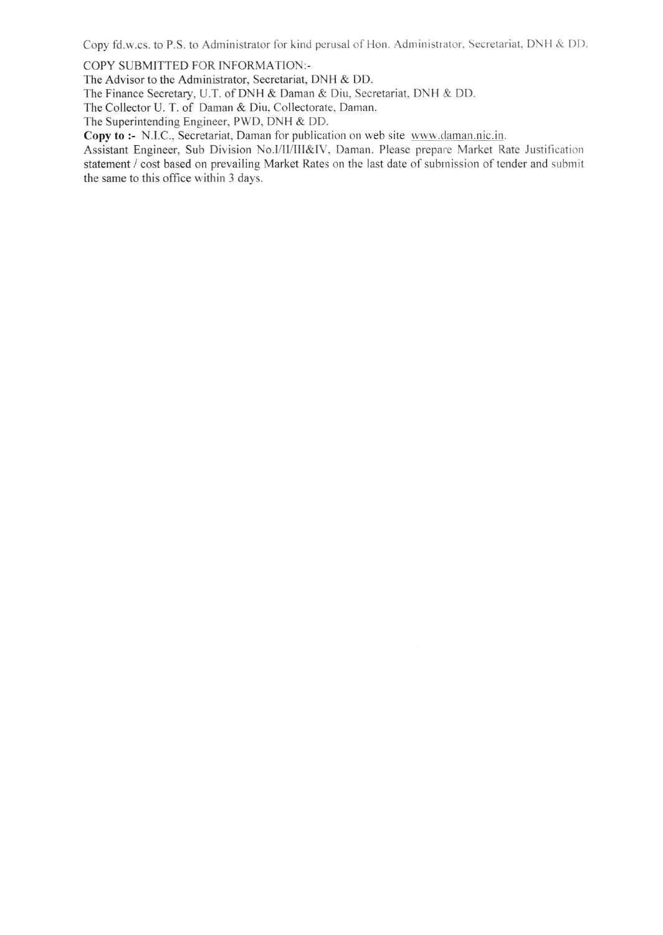Copy fd.w.cs. to P.S. to Administrator for kind perusal of Hon. Administrator, Secretariat, DNH & DD.

COPY SUBMITTED FOR INFORMATION:-

The Advisor to the Administrator, Secretariat, DNH & DD.

The Finance Secretary, U.T. of DNH & Daman & Diu, Secretariat, DNH & DD.

The Collector U. T. of Daman & Diu, Collectorate, Daman.

The Superintending Engineer, PWD, DNH & DD.

Copy to :- N.I.C., Secretariat, Daman for publication on web site www.daman.nic.in.

Assistant Engineer, Sub Division No.I/II/III&IV, Daman. Please prepare Market Rate Justification statement / cost based on prevailing Market Rates on the last date of submission of tender and submit the same to this office within 3 days.